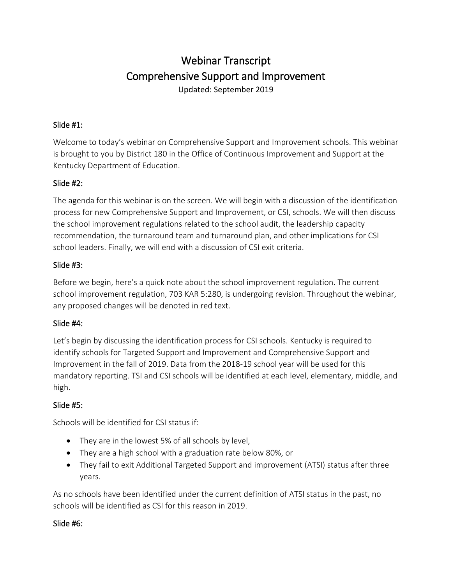# Webinar Transcript Comprehensive Support and Improvement

Updated: September 2019

#### Slide #1:

Welcome to today's webinar on Comprehensive Support and Improvement schools. This webinar is brought to you by District 180 in the Office of Continuous Improvement and Support at the Kentucky Department of Education.

#### Slide #2:

The agenda for this webinar is on the screen. We will begin with a discussion of the identification process for new Comprehensive Support and Improvement, or CSI, schools. We will then discuss the school improvement regulations related to the school audit, the leadership capacity recommendation, the turnaround team and turnaround plan, and other implications for CSI school leaders. Finally, we will end with a discussion of CSI exit criteria.

#### Slide #3:

Before we begin, here's a quick note about the school improvement regulation. The current school improvement regulation, 703 KAR 5:280, is undergoing revision. Throughout the webinar, any proposed changes will be denoted in red text.

#### Slide #4:

Let's begin by discussing the identification process for CSI schools. Kentucky is required to identify schools for Targeted Support and Improvement and Comprehensive Support and Improvement in the fall of 2019. Data from the 2018-19 school year will be used for this mandatory reporting. TSI and CSI schools will be identified at each level, elementary, middle, and high.

# Slide #5:

Schools will be identified for CSI status if:

- They are in the lowest 5% of all schools by level,
- They are a high school with a graduation rate below 80%, or
- They fail to exit Additional Targeted Support and improvement (ATSI) status after three years.

As no schools have been identified under the current definition of ATSI status in the past, no schools will be identified as CSI for this reason in 2019.

# Slide #6: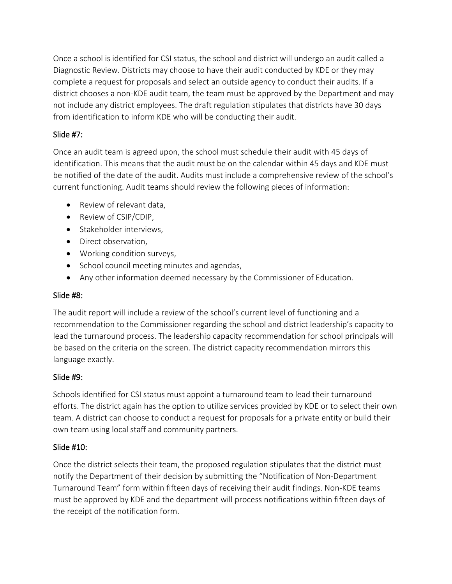Once a school is identified for CSI status, the school and district will undergo an audit called a Diagnostic Review. Districts may choose to have their audit conducted by KDE or they may complete a request for proposals and select an outside agency to conduct their audits. If a district chooses a non-KDE audit team, the team must be approved by the Department and may not include any district employees. The draft regulation stipulates that districts have 30 days from identification to inform KDE who will be conducting their audit.

# Slide #7:

Once an audit team is agreed upon, the school must schedule their audit with 45 days of identification. This means that the audit must be on the calendar within 45 days and KDE must be notified of the date of the audit. Audits must include a comprehensive review of the school's current functioning. Audit teams should review the following pieces of information:

- Review of relevant data,
- Review of CSIP/CDIP,
- Stakeholder interviews,
- Direct observation,
- Working condition surveys,
- School council meeting minutes and agendas,
- Any other information deemed necessary by the Commissioner of Education.

# Slide #8:

The audit report will include a review of the school's current level of functioning and a recommendation to the Commissioner regarding the school and district leadership's capacity to lead the turnaround process. The leadership capacity recommendation for school principals will be based on the criteria on the screen. The district capacity recommendation mirrors this language exactly.

# Slide #9:

Schools identified for CSI status must appoint a turnaround team to lead their turnaround efforts. The district again has the option to utilize services provided by KDE or to select their own team. A district can choose to conduct a request for proposals for a private entity or build their own team using local staff and community partners.

# Slide #10:

Once the district selects their team, the proposed regulation stipulates that the district must notify the Department of their decision by submitting the "Notification of Non-Department Turnaround Team" form within fifteen days of receiving their audit findings. Non-KDE teams must be approved by KDE and the department will process notifications within fifteen days of the receipt of the notification form.